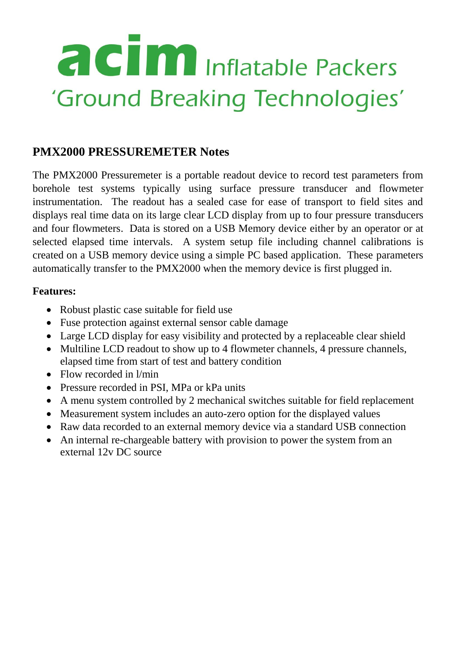# **a cim** Inflatable Packers 'Ground Breaking Technologies'

### **PMX2000 PRESSUREMETER Notes**

The PMX2000 Pressuremeter is a portable readout device to record test parameters from borehole test systems typically using surface pressure transducer and flowmeter instrumentation. The readout has a sealed case for ease of transport to field sites and displays real time data on its large clear LCD display from up to four pressure transducers and four flowmeters. Data is stored on a USB Memory device either by an operator or at selected elapsed time intervals. A system setup file including channel calibrations is created on a USB memory device using a simple PC based application. These parameters automatically transfer to the PMX2000 when the memory device is first plugged in.

#### **Features:**

- Robust plastic case suitable for field use
- Fuse protection against external sensor cable damage
- Large LCD display for easy visibility and protected by a replaceable clear shield
- Multiline LCD readout to show up to 4 flowmeter channels, 4 pressure channels, elapsed time from start of test and battery condition
- Flow recorded in  $1/m$ in
- Pressure recorded in PSI, MPa or kPa units
- A menu system controlled by 2 mechanical switches suitable for field replacement
- Measurement system includes an auto-zero option for the displayed values
- Raw data recorded to an external memory device via a standard USB connection
- An internal re-chargeable battery with provision to power the system from an external 12v DC source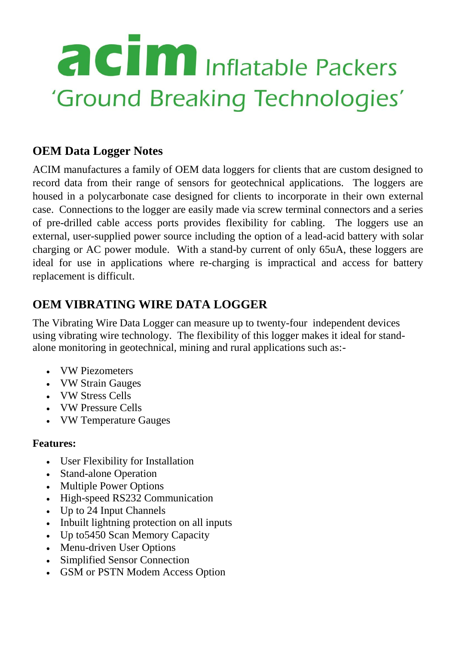# **acim** Inflatable Packers 'Ground Breaking Technologies'

### **OEM Data Logger Notes**

ACIM manufactures a family of OEM data loggers for clients that are custom designed to record data from their range of sensors for geotechnical applications. The loggers are housed in a polycarbonate case designed for clients to incorporate in their own external case. Connections to the logger are easily made via screw terminal connectors and a series of pre-drilled cable access ports provides flexibility for cabling. The loggers use an external, user-supplied power source including the option of a lead-acid battery with solar charging or AC power module. With a stand-by current of only 65uA, these loggers are ideal for use in applications where re-charging is impractical and access for battery replacement is difficult.

### **OEM VIBRATING WIRE DATA LOGGER**

The Vibrating Wire Data Logger can measure up to twenty-four independent devices using vibrating wire technology. The flexibility of this logger makes it ideal for standalone monitoring in geotechnical, mining and rural applications such as:-

- VW Piezometers
- VW Strain Gauges
- VW Stress Cells
- VW Pressure Cells
- VW Temperature Gauges

#### **Features:**

- User Flexibility for Installation
- Stand-alone Operation
- Multiple Power Options
- High-speed RS232 Communication
- Up to 24 Input Channels
- Inbuilt lightning protection on all inputs
- Up to5450 Scan Memory Capacity
- Menu-driven User Options
- Simplified Sensor Connection
- GSM or PSTN Modem Access Option